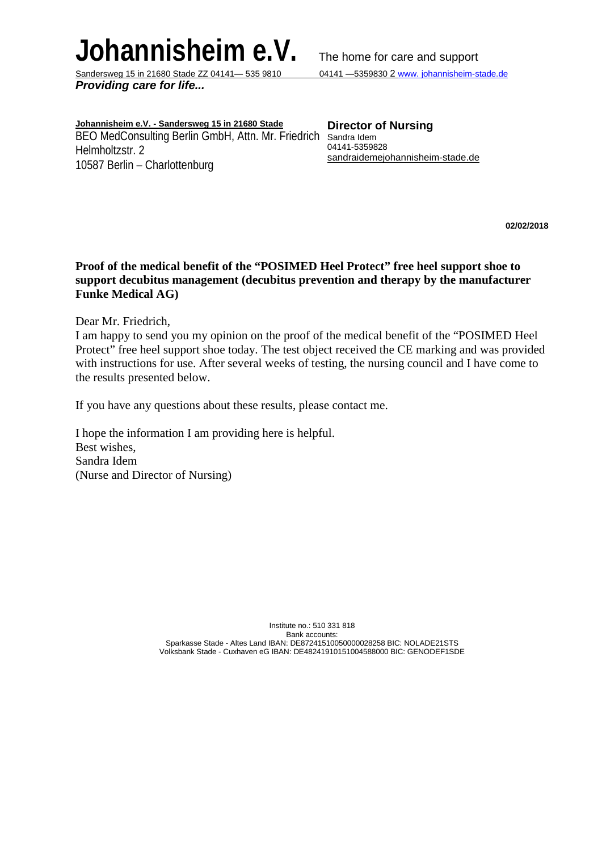# **Johannisheim e.V.** The home for care and support Sandersweg 15 in 21680 Stade ZZ 04141 - 535 9810 04141 - 5359830 2 www. johannisheim-stade.de

Sandersweg 15 in 21680 Stade ZZ 04141 - 535 9810 *Providing care for life...*

**Johannisheim e.V. - Sandersweg 15 in 21680 Stade** BEO MedConsulting Berlin GmbH, Attn. Mr. Friedrich Sandra Idem Helmholtzstr. 2 10587 Berlin – Charlottenburg

**Director of Nursing** 04141-5359828 sandraidemejohannisheim-stade.de

**02/02/2018**

## **Proof of the medical benefit of the "POSIMED Heel Protect" free heel support shoe to support decubitus management (decubitus prevention and therapy by the manufacturer Funke Medical AG)**

Dear Mr. Friedrich,

I am happy to send you my opinion on the proof of the medical benefit of the "POSIMED Heel Protect" free heel support shoe today. The test object received the CE marking and was provided with instructions for use. After several weeks of testing, the nursing council and I have come to the results presented below.

If you have any questions about these results, please contact me.

I hope the information I am providing here is helpful. Best wishes, Sandra Idem (Nurse and Director of Nursing)

> Institute no.: 510 331 818 Bank accounts: Sparkasse Stade - Altes Land IBAN: DE87241510050000028258 BIC: NOLADE21STS Volksbank Stade - Cuxhaven eG IBAN: DE48241910151004588000 BIC: GENODEF1SDE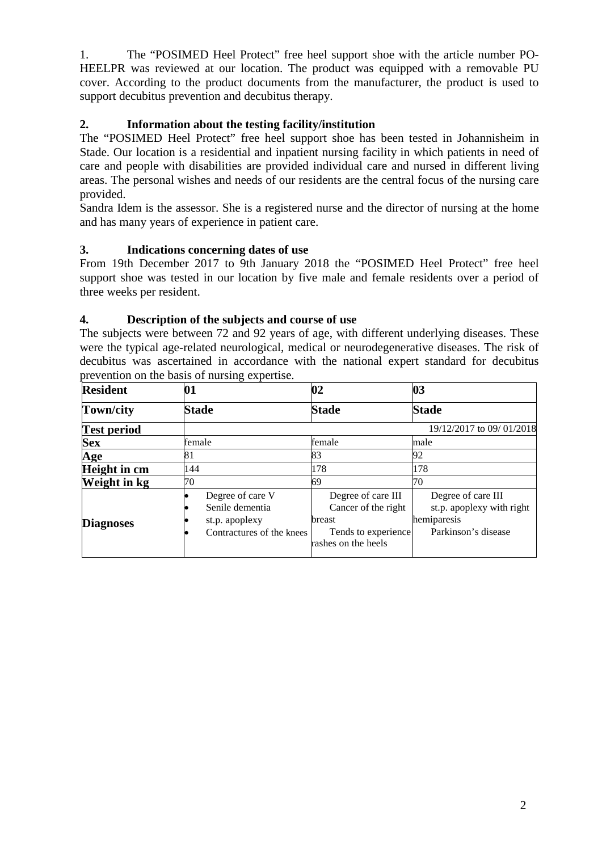1. The "POSIMED Heel Protect" free heel support shoe with the article number PO-HEELPR was reviewed at our location. The product was equipped with a removable PU cover. According to the product documents from the manufacturer, the product is used to support decubitus prevention and decubitus therapy.

## **2. Information about the testing facility/institution**

The "POSIMED Heel Protect" free heel support shoe has been tested in Johannisheim in Stade. Our location is a residential and inpatient nursing facility in which patients in need of care and people with disabilities are provided individual care and nursed in different living areas. The personal wishes and needs of our residents are the central focus of the nursing care provided.

Sandra Idem is the assessor. She is a registered nurse and the director of nursing at the home and has many years of experience in patient care.

## **3. Indications concerning dates of use**

From 19th December 2017 to 9th January 2018 the "POSIMED Heel Protect" free heel support shoe was tested in our location by five male and female residents over a period of three weeks per resident.

## **4. Description of the subjects and course of use**

The subjects were between 72 and 92 years of age, with different underlying diseases. These were the typical age-related neurological, medical or neurodegenerative diseases. The risk of decubitus was ascertained in accordance with the national expert standard for decubitus prevention on the basis of nursing expertise.

| <b>Resident</b>    | 01                                                                                 | 02                                                                                                | 03                                                                                    |
|--------------------|------------------------------------------------------------------------------------|---------------------------------------------------------------------------------------------------|---------------------------------------------------------------------------------------|
| Town/city          | <b>Stade</b>                                                                       | <b>Stade</b>                                                                                      | <b>Stade</b>                                                                          |
| <b>Test period</b> |                                                                                    |                                                                                                   | 19/12/2017 to 09/01/2018                                                              |
| <b>Sex</b>         | female                                                                             | female                                                                                            | male                                                                                  |
| Age                | 81                                                                                 | 83                                                                                                | 92                                                                                    |
| Height in cm       | 144                                                                                | 178                                                                                               | 178                                                                                   |
| Weight in kg       | 70                                                                                 | 69                                                                                                | 70                                                                                    |
| <b>Diagnoses</b>   | Degree of care V<br>Senile dementia<br>st.p. apoplexy<br>Contractures of the knees | Degree of care III<br>Cancer of the right<br>breast<br>Tends to experience<br>rashes on the heels | Degree of care III<br>st.p. apoplexy with right<br>hemiparesis<br>Parkinson's disease |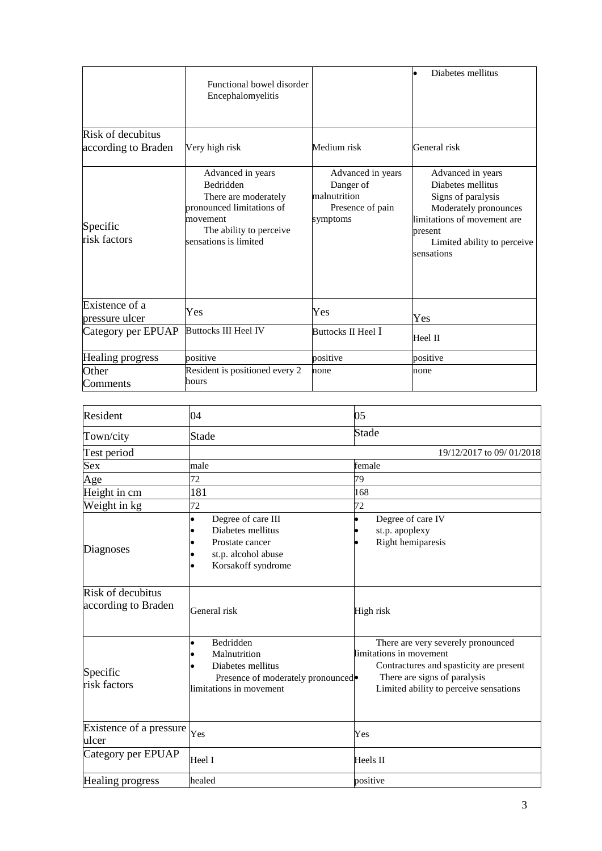|                                          | Functional bowel disorder<br>Encephalomyelitis                                                                                                       |                                                                                | Diabetes mellitus                                                                                                                                                            |
|------------------------------------------|------------------------------------------------------------------------------------------------------------------------------------------------------|--------------------------------------------------------------------------------|------------------------------------------------------------------------------------------------------------------------------------------------------------------------------|
| Risk of decubitus<br>according to Braden | Very high risk                                                                                                                                       | Medium risk                                                                    | General risk                                                                                                                                                                 |
| Specific<br>risk factors                 | Advanced in years<br>Bedridden<br>There are moderately<br>pronounced limitations of<br>movement<br>The ability to perceive.<br>sensations is limited | Advanced in years<br>Danger of<br>malnutrition<br>Presence of pain<br>symptoms | Advanced in years<br>Diabetes mellitus<br>Signs of paralysis<br>Moderately pronounces<br>limitations of movement are<br>present<br>Limited ability to perceive<br>sensations |
| Existence of a<br>pressure ulcer         | Yes                                                                                                                                                  | Yes                                                                            | Yes                                                                                                                                                                          |
| Category per EPUAP                       | <b>Buttocks III Heel IV</b>                                                                                                                          | Buttocks II Heel I                                                             | Heel II                                                                                                                                                                      |
| Healing progress                         | positive                                                                                                                                             | positive                                                                       | positive                                                                                                                                                                     |
| Other<br>Comments                        | Resident is positioned every 2<br>hours                                                                                                              | none                                                                           | none                                                                                                                                                                         |

| Resident                                 | 04                                                                                                             | 05                                                                                                                                                                                 |  |
|------------------------------------------|----------------------------------------------------------------------------------------------------------------|------------------------------------------------------------------------------------------------------------------------------------------------------------------------------------|--|
| Town/city                                | Stade                                                                                                          | Stade                                                                                                                                                                              |  |
| Test period                              |                                                                                                                | 19/12/2017 to 09/01/2018                                                                                                                                                           |  |
| <b>Sex</b>                               | male                                                                                                           | female                                                                                                                                                                             |  |
| Age                                      | 72                                                                                                             | 79                                                                                                                                                                                 |  |
| Height in cm                             | 181                                                                                                            | 168                                                                                                                                                                                |  |
| Weight in kg                             | 72                                                                                                             | 72                                                                                                                                                                                 |  |
| Diagnoses                                | Degree of care III<br>Diabetes mellitus<br>Prostate cancer<br>st.p. alcohol abuse<br>Korsakoff syndrome        | Degree of care IV<br>st.p. apoplexy<br>Right hemiparesis                                                                                                                           |  |
| Risk of decubitus<br>according to Braden | General risk                                                                                                   | High risk                                                                                                                                                                          |  |
| Specific<br>risk factors                 | Bedridden<br>Malnutrition<br>Diabetes mellitus<br>Presence of moderately pronounced<br>limitations in movement | There are very severely pronounced<br>limitations in movement<br>Contractures and spasticity are present<br>There are signs of paralysis<br>Limited ability to perceive sensations |  |
| Existence of a pressure<br>ulcer         | Yes                                                                                                            | Yes                                                                                                                                                                                |  |
| Category per EPUAP                       | Heel I                                                                                                         | Heels II                                                                                                                                                                           |  |
| Healing progress                         | healed                                                                                                         | positive                                                                                                                                                                           |  |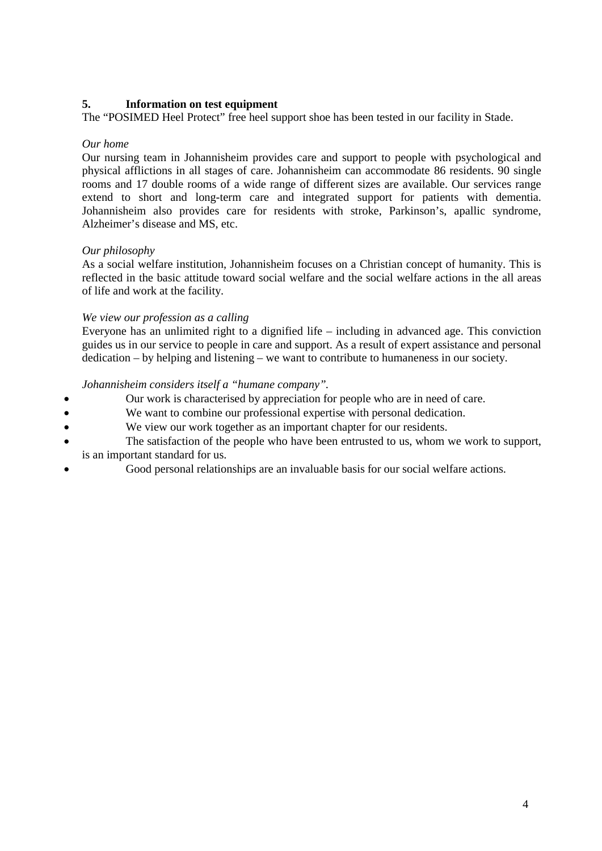## **5. Information on test equipment**

The "POSIMED Heel Protect" free heel support shoe has been tested in our facility in Stade.

#### *Our home*

Our nursing team in Johannisheim provides care and support to people with psychological and physical afflictions in all stages of care. Johannisheim can accommodate 86 residents. 90 single rooms and 17 double rooms of a wide range of different sizes are available. Our services range extend to short and long-term care and integrated support for patients with dementia. Johannisheim also provides care for residents with stroke, Parkinson's, apallic syndrome, Alzheimer's disease and MS, etc.

## *Our philosophy*

As a social welfare institution, Johannisheim focuses on a Christian concept of humanity. This is reflected in the basic attitude toward social welfare and the social welfare actions in the all areas of life and work at the facility.

#### *We view our profession as a calling*

Everyone has an unlimited right to a dignified life – including in advanced age. This conviction guides us in our service to people in care and support. As a result of expert assistance and personal dedication – by helping and listening – we want to contribute to humaneness in our society.

#### *Johannisheim considers itself a "humane company".*

- Our work is characterised by appreciation for people who are in need of care.
- We want to combine our professional expertise with personal dedication.
- We view our work together as an important chapter for our residents.
- The satisfaction of the people who have been entrusted to us, whom we work to support, is an important standard for us.
- Good personal relationships are an invaluable basis for our social welfare actions.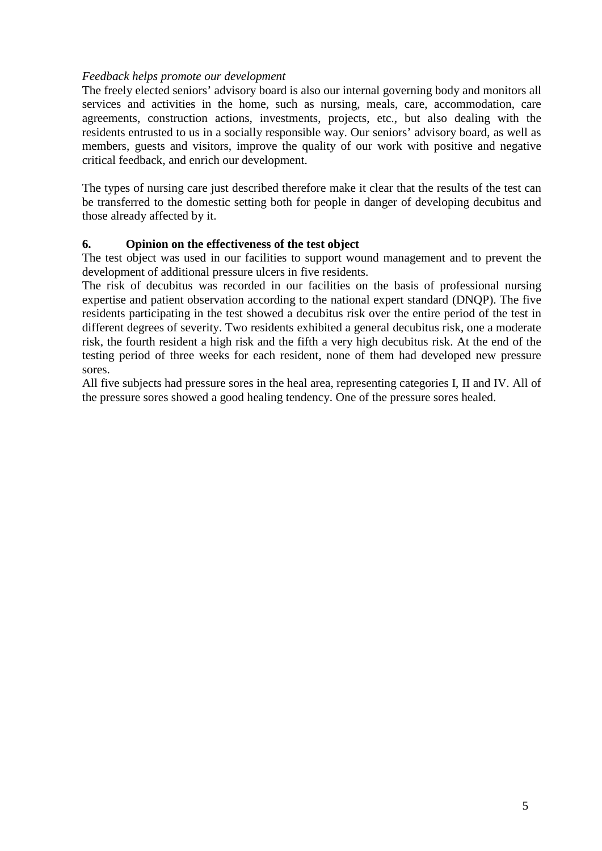## *Feedback helps promote our development*

The freely elected seniors' advisory board is also our internal governing body and monitors all services and activities in the home, such as nursing, meals, care, accommodation, care agreements, construction actions, investments, projects, etc., but also dealing with the residents entrusted to us in a socially responsible way. Our seniors' advisory board, as well as members, guests and visitors, improve the quality of our work with positive and negative critical feedback, and enrich our development.

The types of nursing care just described therefore make it clear that the results of the test can be transferred to the domestic setting both for people in danger of developing decubitus and those already affected by it.

## **6. Opinion on the effectiveness of the test object**

The test object was used in our facilities to support wound management and to prevent the development of additional pressure ulcers in five residents.

The risk of decubitus was recorded in our facilities on the basis of professional nursing expertise and patient observation according to the national expert standard (DNQP). The five residents participating in the test showed a decubitus risk over the entire period of the test in different degrees of severity. Two residents exhibited a general decubitus risk, one a moderate risk, the fourth resident a high risk and the fifth a very high decubitus risk. At the end of the testing period of three weeks for each resident, none of them had developed new pressure sores.

All five subjects had pressure sores in the heal area, representing categories I, II and IV. All of the pressure sores showed a good healing tendency. One of the pressure sores healed.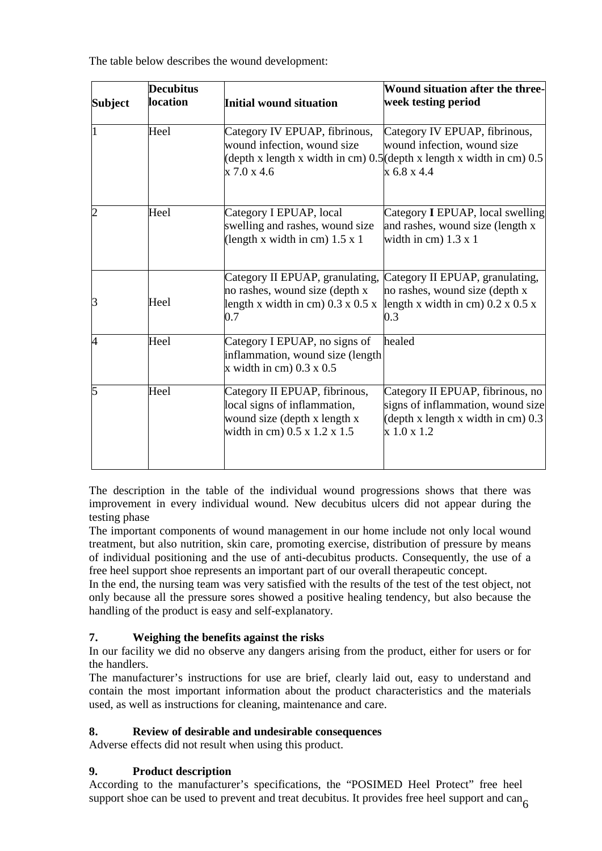The table below describes the wound development:

| <b>Subject</b> | <b>Decubitus</b><br><b>location</b> | <b>Initial wound situation</b>                                                                                                | Wound situation after the three-<br>week testing period                                                                                                  |
|----------------|-------------------------------------|-------------------------------------------------------------------------------------------------------------------------------|----------------------------------------------------------------------------------------------------------------------------------------------------------|
|                | Heel                                | Category IV EPUAP, fibrinous,<br>wound infection, wound size<br>x 7.0 x 4.6                                                   | Category IV EPUAP, fibrinous,<br>wound infection, wound size<br>(depth x length x width in cm) $0.5$ (depth x length x width in cm) $0.5$<br>x 6.8 x 4.4 |
|                | Heel                                | Category I EPUAP, local<br>swelling and rashes, wound size<br>(length x width in cm) $1.5 \times 1$                           | Category I EPUAP, local swelling<br>and rashes, wound size (length x<br>width in cm $)$ 1.3 x 1                                                          |
| З              | Heel                                | Category II EPUAP, granulating,<br>no rashes, wound size (depth x<br>length x width in cm) $0.3 \times 0.5 \times$<br>0.7     | Category II EPUAP, granulating,<br>no rashes, wound size (depth x<br>length x width in cm) $0.2 \times 0.5 \times$<br>0.3                                |
| 4              | Heel                                | Category I EPUAP, no signs of<br>inflammation, wound size (length<br>x width in cm $)$ 0.3 x 0.5                              | healed                                                                                                                                                   |
| 5              | Heel                                | Category II EPUAP, fibrinous,<br>local signs of inflammation,<br>wound size (depth x length x<br>width in cm) 0.5 x 1.2 x 1.5 | Category II EPUAP, fibrinous, no<br>signs of inflammation, wound size<br>$\alpha$ (depth x length x width in cm) 0.3<br>x 1.0 x 1.2                      |

The description in the table of the individual wound progressions shows that there was improvement in every individual wound. New decubitus ulcers did not appear during the testing phase

The important components of wound management in our home include not only local wound treatment, but also nutrition, skin care, promoting exercise, distribution of pressure by means of individual positioning and the use of anti-decubitus products. Consequently, the use of a free heel support shoe represents an important part of our overall therapeutic concept.

In the end, the nursing team was very satisfied with the results of the test of the test object, not only because all the pressure sores showed a positive healing tendency, but also because the handling of the product is easy and self-explanatory.

## **7. Weighing the benefits against the risks**

In our facility we did no observe any dangers arising from the product, either for users or for the handlers.

The manufacturer's instructions for use are brief, clearly laid out, easy to understand and contain the most important information about the product characteristics and the materials used, as well as instructions for cleaning, maintenance and care.

## **8. Review of desirable and undesirable consequences**

Adverse effects did not result when using this product.

## **9. Product description**

According to the manufacturer's specifications, the "POSIMED Heel Protect" free heel support shoe can be used to prevent and treat decubitus. It provides free heel support and can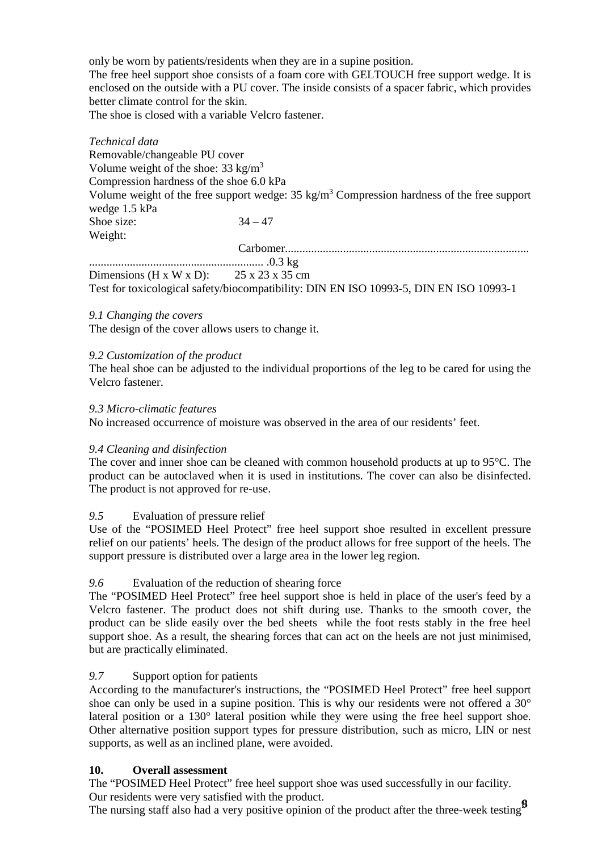only be worn by patients/residents when they are in a supine position.

The free heel support shoe consists of a foam core with GELTOUCH free support wedge. It is enclosed on the outside with a PU cover. The inside consists of a spacer fabric, which provides better climate control for the skin.

The shoe is closed with a variable Velcro fastener.

*Technical data* Removable/changeable PU cover Volume weight of the shoe:  $33 \text{ kg/m}^3$ Compression hardness of the shoe 6.0 kPa Volume weight of the free support wedge:  $35 \text{ kg/m}^3$  Compression hardness of the free support wedge 1.5 kPa Shoe size:  $34 - 47$ Weight: Carbomer.................................................................................... ............................................................ .0.3 kg Dimensions (H x W x D):  $25 \times 23 \times 35$  cm

Test for toxicological safety/biocompatibility: DIN EN ISO 10993-5, DIN EN ISO 10993-1

## *9.1 Changing the covers*

The design of the cover allows users to change it.

#### *9.2 Customization of the product*

The heal shoe can be adjusted to the individual proportions of the leg to be cared for using the Velcro fastener.

#### *9.3 Micro-climatic features*

No increased occurrence of moisture was observed in the area of our residents' feet.

## *9.4 Cleaning and disinfection*

The cover and inner shoe can be cleaned with common household products at up to 95°C. The product can be autoclaved when it is used in institutions. The cover can also be disinfected. The product is not approved for re-use.

## *9.5* Evaluation of pressure relief

Use of the "POSIMED Heel Protect" free heel support shoe resulted in excellent pressure relief on our patients' heels. The design of the product allows for free support of the heels. The support pressure is distributed over a large area in the lower leg region.

## *9.6* Evaluation of the reduction of shearing force

The "POSIMED Heel Protect" free heel support shoe is held in place of the user's feed by a Velcro fastener. The product does not shift during use. Thanks to the smooth cover, the product can be slide easily over the bed sheets while the foot rests stably in the free heel support shoe. As a result, the shearing forces that can act on the heels are not just minimised, but are practically eliminated.

## *9.7* Support option for patients

According to the manufacturer's instructions, the "POSIMED Heel Protect" free heel support shoe can only be used in a supine position. This is why our residents were not offered a  $30^{\circ}$ lateral position or a 130° lateral position while they were using the free heel support shoe. Other alternative position support types for pressure distribution, such as micro, LIN or nest supports, as well as an inclined plane, were avoided.

## **10. Overall assessment**

The "POSIMED Heel Protect" free heel support shoe was used successfully in our facility. Our residents were very satisfied with the product.

The nursing staff also had a very positive opinion of the product after the three-week testing  $\mathbf{S}$